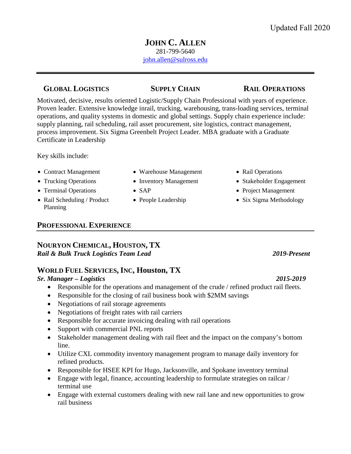## **JOHN C. ALLEN** 281-799-5640 [john.allen@sulross.edu](mailto:john.allen@sulross.edu)

## **GLOBAL LOGISTICS SUPPLY CHAIN RAIL OPERATIONS**

Motivated, decisive, results oriented Logistic/Supply Chain Professional with years of experience. Proven leader. Extensive knowledge inrail, trucking, warehousing, trans-loading services, terminal operations, and quality systems in domestic and global settings. Supply chain experience include: supply planning, rail scheduling, rail asset procurement, site logistics, contract management, process improvement. Six Sigma Greenbelt Project Leader. MBA graduate with a Graduate Certificate in Leadership

Key skills include:

- 
- 
- 
- Rail Scheduling / Product Planning
- Contract Management Warehouse Management Rail Operations
	-
	-
	-
- 
- Trucking Operations Inventory Management Stakeholder Engagement
- Terminal Operations SAP Project Management
	- People Leadership Six Sigma Methodology

## **PROFESSIONAL EXPERIENCE**

## **NOURYON CHEMICAL, HOUSTON, TX**  *Rail & Bulk Truck Logistics Team Lead 2019-Present*

# **WORLD FUEL SERVICES,INC, Houston, TX**

## *Sr. Manager – Logistics 2015-2019*

- Responsible for the operations and management of the crude / refined product rail fleets.
- Responsible for the closing of rail business book with \$2MM savings
- Negotiations of rail storage agreements
- Negotiations of freight rates with rail carriers
- Responsible for accurate invoicing dealing with rail operations
- Support with commercial PNL reports
- Stakeholder management dealing with rail fleet and the impact on the company's bottom line.
- Utilize CXL commodity inventory management program to manage daily inventory for refined products.
- Responsible for HSEE KPI for Hugo, Jacksonville, and Spokane inventory terminal
- Engage with legal, finance, accounting leadership to formulate strategies on railcar / terminal use
- Engage with external customers dealing with new rail lane and new opportunities to grow rail business

- -
- 
-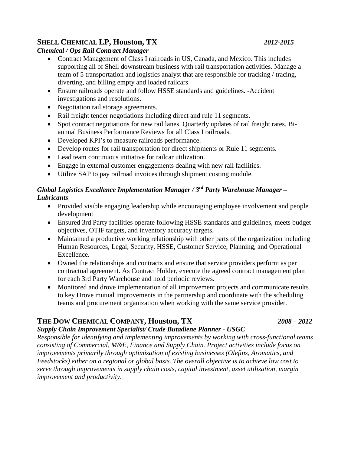# **SHELL CHEMICAL LP, Houston, TX** *2012-2015*

## *Chemical / Ops Rail Contract Manager*

- Contract Management of Class I railroads in US, Canada, and Mexico. This includes supporting all of Shell downstream business with rail transportation activities. Manage a team of 5 transportation and logistics analyst that are responsible for tracking / tracing, diverting, and billing empty and loaded railcars
- Ensure railroads operate and follow HSSE standards and guidelines. -Accident investigations and resolutions.
- Negotiation rail storage agreements.
- Rail freight tender negotiations including direct and rule 11 segments.
- Spot contract negotiations for new rail lanes. Quarterly updates of rail freight rates. Biannual Business Performance Reviews for all Class I railroads.
- Developed KPI's to measure railroads performance.
- Develop routes for rail transportation for direct shipments or Rule 11 segments.
- Lead team continuous initiative for railcar utilization.
- Engage in external customer engagements dealing with new rail facilities.
- Utilize SAP to pay railroad invoices through shipment costing module.

## *Global Logistics Excellence Implementation Manager / 3rd Party Warehouse Manager – Lubricants*

- Provided visible engaging leadership while encouraging employee involvement and people development
- Ensured 3rd Party facilities operate following HSSE standards and guidelines, meets budget objectives, OTIF targets, and inventory accuracy targets.
- Maintained a productive working relationship with other parts of the organization including Human Resources, Legal, Security, HSSE, Customer Service, Planning, and Operational Excellence.
- Owned the relationships and contracts and ensure that service providers perform as per contractual agreement. As Contract Holder, execute the agreed contract management plan for each 3rd Party Warehouse and hold periodic reviews.
- Monitored and drove implementation of all improvement projects and communicate results to key Drove mutual improvements in the partnership and coordinate with the scheduling teams and procurement organization when working with the same service provider.

# **THE DOW CHEMICAL COMPANY, Houston, TX** *2008 – 2012*

## *Supply Chain Improvement Specialist/ Crude Butadiene Planner - USGC*

*Responsible for identifying and implementing improvements by working with cross-functional teams consisting of Commercial, M&E, Finance and Supply Chain. Project activities include focus on improvements primarily through optimization of existing businesses (Olefins, Aromatics, and Feedstocks) either on a regional or global basis. The overall objective is to achieve low cost to serve through improvements in supply chain costs, capital investment, asset utilization, margin improvement and productivity*.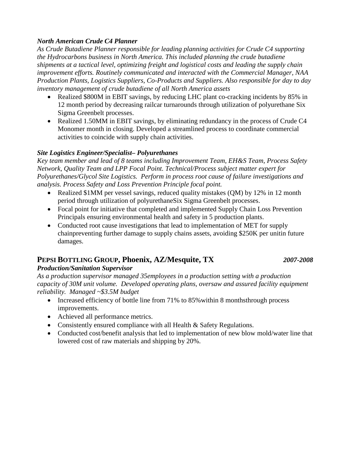## *North American Crude C4 Planner*

*As Crude Butadiene Planner responsible for leading planning activities for Crude C4 supporting the Hydrocarbons business in North America. This included planning the crude butadiene shipments at a tactical level, optimizing freight and logistical costs and leading the supply chain improvement efforts. Routinely communicated and interacted with the Commercial Manager, NAA Production Plants, Logistics Suppliers, Co-Products and Suppliers. Also responsible for day to day inventory management of crude butadiene of all North America assets*

- Realized \$800M in EBIT savings, by reducing LHC plant co-cracking incidents by 85% in 12 month period by decreasing railcar turnarounds through utilization of polyurethane Six Sigma Greenbelt processes.
- Realized 1.50MM in EBIT savings, by eliminating redundancy in the process of Crude C4 Monomer month in closing. Developed a streamlined process to coordinate commercial activities to coincide with supply chain activities.

## *Site Logistics Engineer/Specialist– Polyurethanes*

*Key team member and lead of 8 teams including Improvement Team, EH&S Team, Process Safety Network, Quality Team and LPP Focal Point. Technical/Process subject matter expert for Polyurethanes/Glycol Site Logistics. Perform in process root cause of failure investigations and analysis. Process Safety and Loss Prevention Principle focal point.* 

- Realized \$1MM per vessel savings, reduced quality mistakes (QM) by 12% in 12 month period through utilization of polyurethaneSix Sigma Greenbelt processes.
- Focal point for initiative that completed and implemented Supply Chain Loss Prevention Principals ensuring environmental health and safety in 5 production plants.
- Conducted root cause investigations that lead to implementation of MET for supply chainpreventing further damage to supply chains assets, avoiding \$250K per unitin future damages.

# **PEPSI BOTTLING GROUP, Phoenix, AZ/Mesquite, TX** *2007-2008*

## *Production/Sanitation Supervisor*

*As a production supervisor managed 35employees in a production setting with a production capacity of 30M unit volume. Developed operating plans, oversaw and assured facility equipment reliability. Managed ~\$3.5M budget*

- Increased efficiency of bottle line from 71% to 85% within 8 monthsthrough process improvements.
- Achieved all performance metrics.
- Consistently ensured compliance with all Health & Safety Regulations.
- Conducted cost/benefit analysis that led to implementation of new blow mold/water line that lowered cost of raw materials and shipping by 20%.